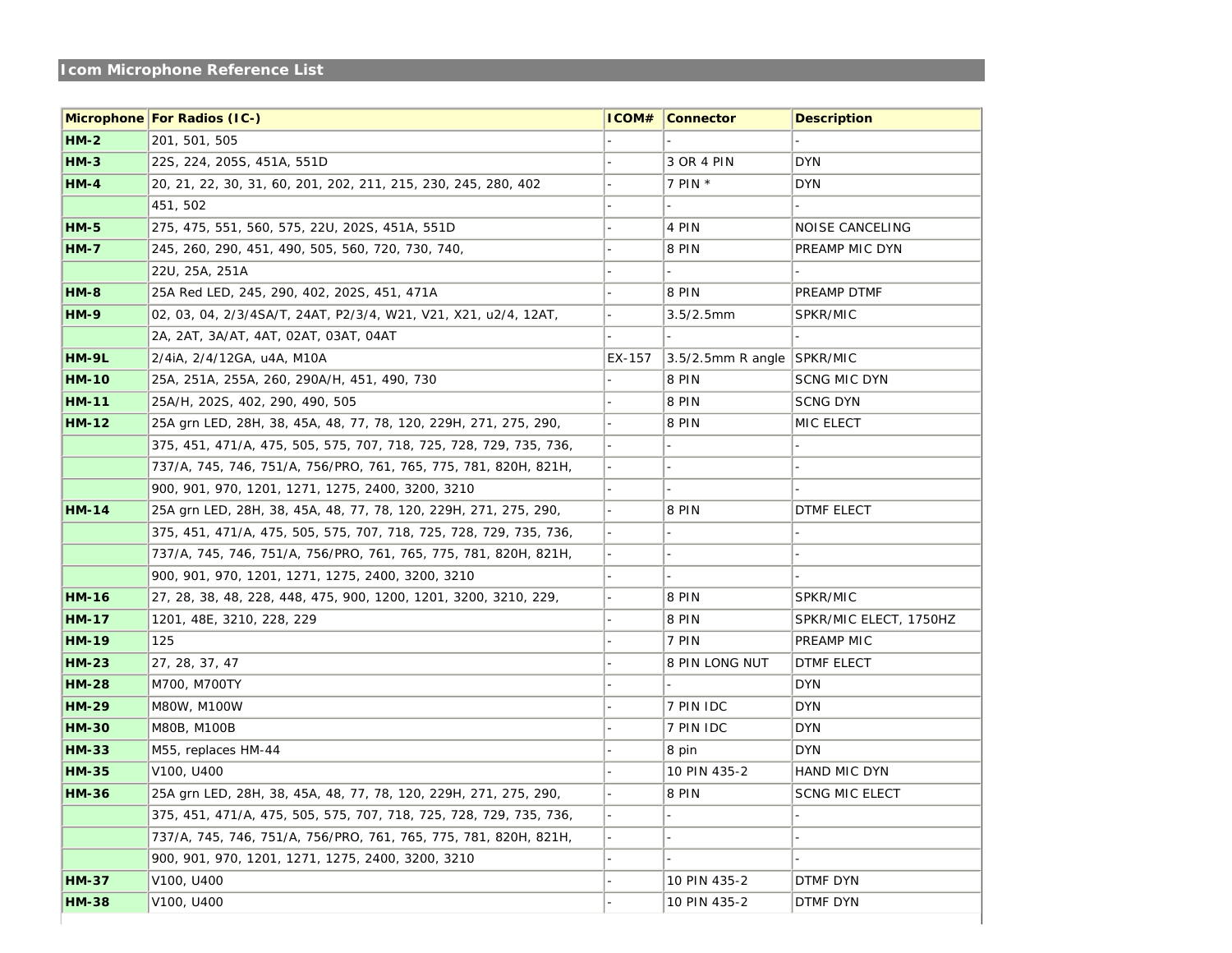## **Icom Microphone Reference List**

|              | <b>Microphone For Radios (IC-)</b>                                 | ICOM#  | <b>Connector</b>           | <b>Description</b>     |
|--------------|--------------------------------------------------------------------|--------|----------------------------|------------------------|
| $HM-2$       | 201, 501, 505                                                      |        |                            |                        |
| $HM-3$       | 22S, 224, 205S, 451A, 551D                                         |        | 3 OR 4 PIN                 | <b>DYN</b>             |
| $HM-4$       | 20, 21, 22, 30, 31, 60, 201, 202, 211, 215, 230, 245, 280, 402     |        | 7 PIN $*$                  | <b>DYN</b>             |
|              | 451, 502                                                           |        |                            |                        |
| $HM-5$       | 275, 475, 551, 560, 575, 22U, 202S, 451A, 551D                     |        | 4 PIN                      | <b>NOISE CANCELING</b> |
| $HM-7$       | 245, 260, 290, 451, 490, 505, 560, 720, 730, 740,                  |        | 8 PIN                      | PREAMP MIC DYN         |
|              | 22U, 25A, 251A                                                     |        |                            |                        |
| $HM-8$       | 25A Red LED, 245, 290, 402, 202S, 451, 471A                        |        | 8 PIN                      | PREAMP DTMF            |
| <b>HM-9</b>  | 02, 03, 04, 2/3/4SA/T, 24AT, P2/3/4, W21, V21, X21, u2/4, 12AT,    |        | $3.5/2.5$ mm               | <b>SPKR/MIC</b>        |
|              | 2A, 2AT, 3A/AT, 4AT, 02AT, 03AT, 04AT                              |        |                            |                        |
| <b>HM-9L</b> | $2/4$ iA, $2/4/12$ GA, u4A, M10A                                   | EX-157 | 3.5/2.5mm R angle SPKR/MIC |                        |
| <b>HM-10</b> | 25A, 251A, 255A, 260, 290A/H, 451, 490, 730                        |        | 8 PIN                      | <b>SCNG MIC DYN</b>    |
| $HM-11$      | 25A/H, 202S, 402, 290, 490, 505                                    |        | 8 PIN                      | <b>SCNG DYN</b>        |
| <b>HM-12</b> | 25A grn LED, 28H, 38, 45A, 48, 77, 78, 120, 229H, 271, 275, 290,   |        | 8 PIN                      | MIC ELECT              |
|              | 375, 451, 471/A, 475, 505, 575, 707, 718, 725, 728, 729, 735, 736, |        |                            |                        |
|              | 737/A, 745, 746, 751/A, 756/PRO, 761, 765, 775, 781, 820H, 821H,   |        |                            |                        |
|              | 900, 901, 970, 1201, 1271, 1275, 2400, 3200, 3210                  |        |                            |                        |
| $HM-14$      | 25A grn LED, 28H, 38, 45A, 48, 77, 78, 120, 229H, 271, 275, 290,   |        | 8 PIN                      | <b>DTMF ELECT</b>      |
|              | 375, 451, 471/A, 475, 505, 575, 707, 718, 725, 728, 729, 735, 736, |        |                            |                        |
|              | 737/A, 745, 746, 751/A, 756/PRO, 761, 765, 775, 781, 820H, 821H,   |        |                            |                        |
|              | 900, 901, 970, 1201, 1271, 1275, 2400, 3200, 3210                  |        |                            |                        |
| <b>HM-16</b> | 27, 28, 38, 48, 228, 448, 475, 900, 1200, 1201, 3200, 3210, 229,   |        | 8 PIN                      | SPKR/MIC               |
| <b>HM-17</b> | 1201, 48E, 3210, 228, 229                                          |        | 8 PIN                      | SPKR/MIC ELECT, 1750HZ |
| <b>HM-19</b> | 125                                                                |        | 7 PIN                      | PREAMP MIC             |
| $HM-23$      | 27, 28, 37, 47                                                     |        | 8 PIN LONG NUT             | <b>DTMF ELECT</b>      |
| <b>HM-28</b> | M700, M700TY                                                       |        |                            | <b>DYN</b>             |
| <b>HM-29</b> | M80W, M100W                                                        |        | 7 PIN IDC                  | <b>DYN</b>             |
| <b>HM-30</b> | <b>M80B, M100B</b>                                                 |        | 7 PIN IDC                  | <b>DYN</b>             |
| <b>HM-33</b> | M55, replaces HM-44                                                |        | 8 pin                      | <b>DYN</b>             |
| <b>HM-35</b> | V100, U400                                                         |        | 10 PIN 435-2               | HAND MIC DYN           |
| <b>HM-36</b> | 25A grn LED, 28H, 38, 45A, 48, 77, 78, 120, 229H, 271, 275, 290,   |        | 8 PIN                      | <b>SCNG MIC ELECT</b>  |
|              | 375, 451, 471/A, 475, 505, 575, 707, 718, 725, 728, 729, 735, 736, |        |                            |                        |
|              | 737/A, 745, 746, 751/A, 756/PRO, 761, 765, 775, 781, 820H, 821H,   |        |                            |                        |
|              | 900, 901, 970, 1201, 1271, 1275, 2400, 3200, 3210                  |        |                            |                        |
| <b>HM-37</b> | V <sub>100</sub> , U <sub>400</sub>                                |        | 10 PIN 435-2               | DTMF DYN               |
| <b>HM-38</b> | V100, U400                                                         |        | 10 PIN 435-2               | DTMF DYN               |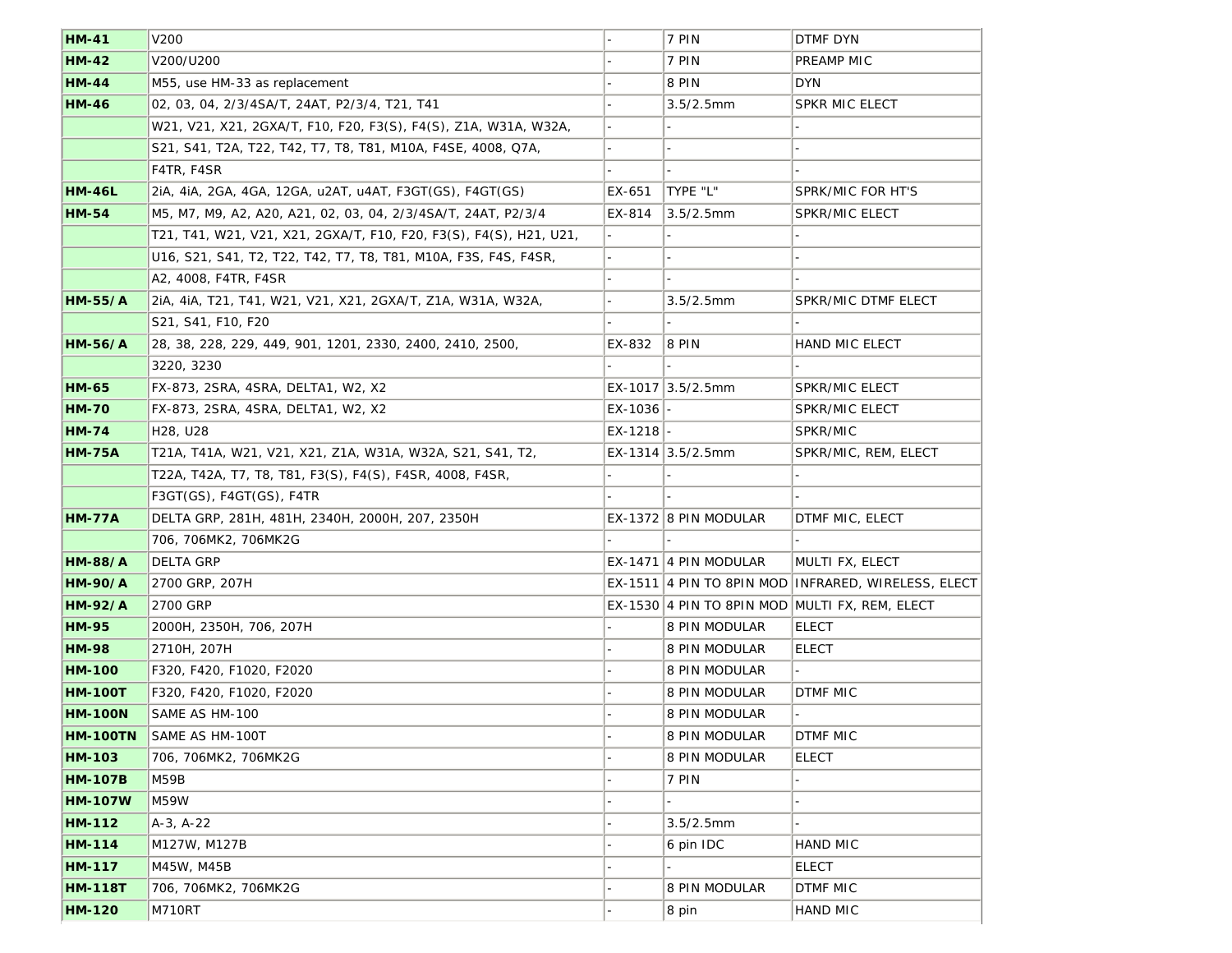| <b>HM-41</b>    | <b>V200</b>                                                        |             | 7 PIN                     | <b>DTMF DYN</b>                                     |
|-----------------|--------------------------------------------------------------------|-------------|---------------------------|-----------------------------------------------------|
| <b>HM-42</b>    | V200/U200                                                          |             | 7 PIN                     | PREAMP MIC                                          |
| <b>HM-44</b>    | M55, use HM-33 as replacement                                      |             | 8 PIN                     | <b>DYN</b>                                          |
| <b>HM-46</b>    | 02, 03, 04, 2/3/4SA/T, 24AT, P2/3/4, T21, T41                      |             | $3.5/2.5$ mm              | <b>SPKR MIC ELECT</b>                               |
|                 | W21, V21, X21, 2GXA/T, F10, F20, F3(S), F4(S), Z1A, W31A, W32A,    |             |                           |                                                     |
|                 | S21, S41, T2A, T22, T42, T7, T8, T81, M10A, F4SE, 4008, Q7A,       |             |                           |                                                     |
|                 | F4TR, F4SR                                                         |             |                           |                                                     |
| <b>HM-46L</b>   | 2iA, 4iA, 2GA, 4GA, 12GA, u2AT, u4AT, F3GT(GS), F4GT(GS)           | EX-651      | TYPE "L"                  | <b>SPRK/MIC FOR HT'S</b>                            |
| <b>HM-54</b>    | M5, M7, M9, A2, A20, A21, 02, 03, 04, 2/3/4SA/T, 24AT, P2/3/4      | EX-814      | $3.5/2.5$ mm              | <b>SPKR/MIC ELECT</b>                               |
|                 | T21, T41, W21, V21, X21, 2GXA/T, F10, F20, F3(S), F4(S), H21, U21, |             |                           |                                                     |
|                 | U16, S21, S41, T2, T22, T42, T7, T8, T81, M10A, F3S, F4S, F4SR,    |             |                           |                                                     |
|                 | A2, 4008, F4TR, F4SR                                               |             |                           |                                                     |
| $HM-55/A$       | 2iA, 4iA, T21, T41, W21, V21, X21, 2GXA/T, Z1A, W31A, W32A,        |             | $3.5/2.5$ mm              | <b>SPKR/MIC DTMF ELECT</b>                          |
|                 | S21, S41, F10, F20                                                 |             |                           |                                                     |
| $HM-56/A$       | 28, 38, 228, 229, 449, 901, 1201, 2330, 2400, 2410, 2500,          | EX-832      | 8 PIN                     | <b>HAND MIC ELECT</b>                               |
|                 | 3220, 3230                                                         |             |                           |                                                     |
| <b>HM-65</b>    | FX-873, 2SRA, 4SRA, DELTA1, W2, X2                                 |             | EX-1017 3.5/2.5mm         | <b>SPKR/MIC ELECT</b>                               |
| <b>HM-70</b>    | FX-873, 2SRA, 4SRA, DELTA1, W2, X2                                 | $EX-1036$ - |                           | <b>SPKR/MIC ELECT</b>                               |
| <b>HM-74</b>    | H <sub>28</sub> , U <sub>28</sub>                                  | $EX-1218$ - |                           | SPKR/MIC                                            |
| <b>HM-75A</b>   | T21A, T41A, W21, V21, X21, Z1A, W31A, W32A, S21, S41, T2,          |             | EX-1314 $ 3.5/2.5$ mm     | SPKR/MIC, REM, ELECT                                |
|                 | T22A, T42A, T7, T8, T81, F3(S), F4(S), F4SR, 4008, F4SR,           |             |                           |                                                     |
|                 | $F3GT(GS)$ , $F4GT(GS)$ , $F4TR$                                   |             |                           |                                                     |
| <b>HM-77A</b>   | DELTA GRP, 281H, 481H, 2340H, 2000H, 207, 2350H                    |             | $EX-1372$ 8 PIN MODULAR   | DTMF MIC, ELECT                                     |
|                 | 706, 706MK2, 706MK2G                                               |             |                           |                                                     |
| <b>HM-88/A</b>  | <b>DELTA GRP</b>                                                   |             | $EX-1471$   4 PIN MODULAR | MULTI FX, ELECT                                     |
| <b>HM-90/A</b>  | 2700 GRP, 207H                                                     |             |                           | EX-1511 4 PIN TO 8PIN MOD INFRARED, WIRELESS, ELECT |
| <b>HM-92/A</b>  | 2700 GRP                                                           |             |                           | EX-1530 4 PIN TO 8PIN MOD MULTI FX, REM, ELECT      |
| <b>HM-95</b>    | 2000H, 2350H, 706, 207H                                            |             | <b>8 PIN MODULAR</b>      | <b>ELECT</b>                                        |
| <b>HM-98</b>    | 2710H, 207H                                                        |             | <b>8 PIN MODULAR</b>      | <b>ELECT</b>                                        |
| <b>HM-100</b>   | F320, F420, F1020, F2020                                           |             | <b>8 PIN MODULAR</b>      |                                                     |
| <b>HM-100T</b>  | F320, F420, F1020, F2020                                           |             | <b>8 PIN MODULAR</b>      | <b>DTMF MIC</b>                                     |
| <b>HM-100N</b>  | SAME AS HM-100                                                     |             | <b>8 PIN MODULAR</b>      |                                                     |
| <b>HM-100TN</b> | <b>SAME AS HM-100T</b>                                             |             | <b>8 PIN MODULAR</b>      | <b>DTMF MIC</b>                                     |
| <b>HM-103</b>   | 706, 706MK2, 706MK2G                                               |             | 8 PIN MODULAR             | <b>ELECT</b>                                        |
| <b>HM-107B</b>  | M59B                                                               |             | 7 PIN                     |                                                     |
| <b>HM-107W</b>  | <b>M59W</b>                                                        |             |                           |                                                     |
| <b>HM-112</b>   | $A-3, A-22$                                                        |             | $3.5/2.5$ mm              |                                                     |
| <b>HM-114</b>   | M127W, M127B                                                       |             | 6 pin IDC                 | <b>HAND MIC</b>                                     |
| <b>HM-117</b>   | M45W, M45B                                                         |             |                           | <b>ELECT</b>                                        |
| <b>HM-118T</b>  | 706, 706MK2, 706MK2G                                               |             | <b>8 PIN MODULAR</b>      | <b>DTMF MIC</b>                                     |
| <b>HM-120</b>   | <b>M710RT</b>                                                      |             | 8 pin                     | HAND MIC                                            |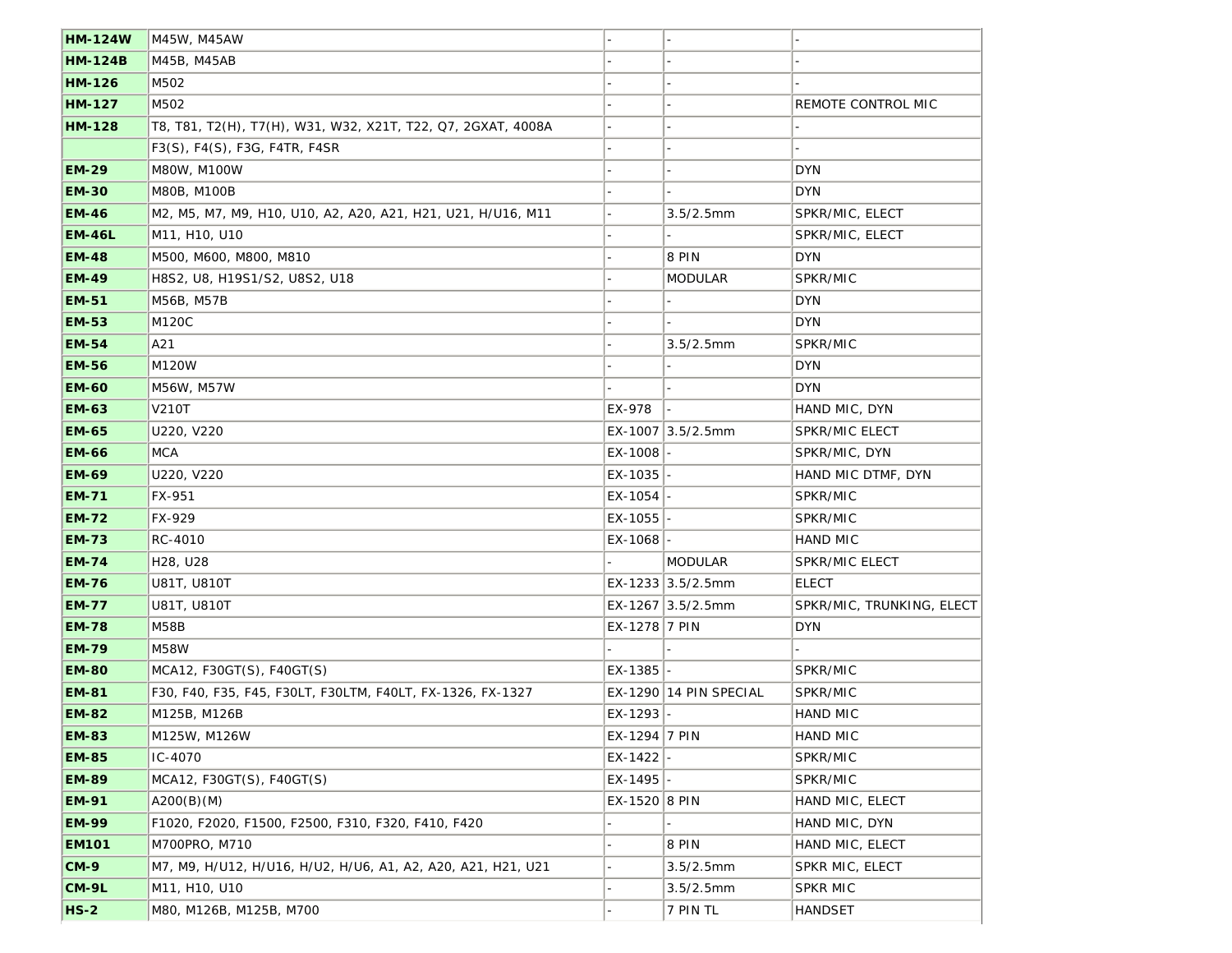| <b>HM-124W</b> | M45W, M45AW                                                  |               |                        |                           |
|----------------|--------------------------------------------------------------|---------------|------------------------|---------------------------|
| <b>HM-124B</b> | M45B, M45AB                                                  |               |                        |                           |
| <b>HM-126</b>  | M502                                                         |               |                        |                           |
| <b>HM-127</b>  | M502                                                         |               |                        | REMOTE CONTROL MIC        |
| <b>HM-128</b>  | T8, T81, T2(H), T7(H), W31, W32, X21T, T22, Q7, 2GXAT, 4008A |               |                        |                           |
|                | F3(S), F4(S), F3G, F4TR, F4SR                                |               |                        |                           |
| <b>EM-29</b>   | <b>M80W, M100W</b>                                           |               |                        | <b>DYN</b>                |
| <b>EM-30</b>   | <b>M80B, M100B</b>                                           |               |                        | <b>DYN</b>                |
| <b>EM-46</b>   | M2, M5, M7, M9, H10, U10, A2, A20, A21, H21, U21, H/U16, M11 |               | $3.5/2.5$ mm           | SPKR/MIC, ELECT           |
| <b>EM-46L</b>  | M11, H10, U10                                                |               |                        | SPKR/MIC, ELECT           |
| <b>EM-48</b>   | M500, M600, M800, M810                                       |               | 8 PIN                  | <b>DYN</b>                |
| <b>EM-49</b>   | H8S2, U8, H19S1/S2, U8S2, U18                                |               | <b>MODULAR</b>         | SPKR/MIC                  |
| <b>EM-51</b>   | M56B, M57B                                                   |               |                        | <b>DYN</b>                |
| <b>EM-53</b>   | M120C                                                        |               |                        | <b>DYN</b>                |
| <b>EM-54</b>   | A21                                                          |               | $3.5/2.5$ mm           | SPKR/MIC                  |
| <b>EM-56</b>   | <b>M120W</b>                                                 |               |                        | <b>DYN</b>                |
| <b>EM-60</b>   | M56W, M57W                                                   |               |                        | <b>DYN</b>                |
| <b>EM-63</b>   | <b>V210T</b>                                                 | EX-978        |                        | HAND MIC, DYN             |
| <b>EM-65</b>   | U220, V220                                                   |               | EX-1007 3.5/2.5mm      | <b>SPKR/MIC ELECT</b>     |
| <b>EM-66</b>   | <b>MCA</b>                                                   | EX-1008       |                        | SPKR/MIC, DYN             |
| <b>EM-69</b>   | U220, V220                                                   | EX-1035       |                        | HAND MIC DTMF, DYN        |
| <b>EM-71</b>   | <b>FX-951</b>                                                | $EX-1054$ -   |                        | SPKR/MIC                  |
| <b>EM-72</b>   | FX-929                                                       | EX-1055       |                        | SPKR/MIC                  |
| <b>EM-73</b>   | RC-4010                                                      | EX-1068       |                        | <b>HAND MIC</b>           |
| <b>EM-74</b>   | H <sub>28</sub> , U <sub>28</sub>                            |               | <b>MODULAR</b>         | <b>SPKR/MIC ELECT</b>     |
| <b>EM-76</b>   | U81T, U810T                                                  |               | EX-1233 3.5/2.5mm      | <b>ELECT</b>              |
| <b>EM-77</b>   | U81T, U810T                                                  |               | EX-1267 3.5/2.5mm      | SPKR/MIC, TRUNKING, ELECT |
| <b>EM-78</b>   | <b>M58B</b>                                                  | EX-1278 7 PIN |                        | <b>DYN</b>                |
| <b>EM-79</b>   | <b>M58W</b>                                                  |               |                        |                           |
| <b>EM-80</b>   | MCA12, F30GT(S), F40GT(S)                                    | $EX-1385$ -   |                        | SPKR/MIC                  |
| <b>EM-81</b>   | F30, F40, F35, F45, F30LT, F30LTM, F40LT, FX-1326, FX-1327   |               | EX-1290 14 PIN SPECIAL | SPKR/MIC                  |
| <b>EM-82</b>   | M125B, M126B                                                 | EX-1293       |                        | <b>HAND MIC</b>           |
| <b>EM-83</b>   | M125W, M126W                                                 | EX-1294 7 PIN |                        | <b>HAND MIC</b>           |
| <b>EM-85</b>   | IC-4070                                                      | EX-1422       |                        | SPKR/MIC                  |
| <b>EM-89</b>   | $MCA12$ , F30GT(S), F40GT(S)                                 | EX-1495       |                        | SPKR/MIC                  |
| <b>EM-91</b>   | A200(B)(M)                                                   | EX-1520 8 PIN |                        | HAND MIC, ELECT           |
| <b>EM-99</b>   | F1020, F2020, F1500, F2500, F310, F320, F410, F420           |               |                        | HAND MIC, DYN             |
| <b>EM101</b>   | M700PRO, M710                                                |               | <b>8 PIN</b>           | HAND MIC, ELECT           |
| $CM-9$         | M7, M9, H/U12, H/U16, H/U2, H/U6, A1, A2, A20, A21, H21, U21 |               | $3.5/2.5$ mm           | SPKR MIC, ELECT           |
| $CM-9L$        | M11, H10, U10                                                |               | $3.5/2.5$ mm           | <b>SPKR MIC</b>           |
| $HS-2$         | M80, M126B, M125B, M700                                      |               | 7 PIN TL               | <b>HANDSET</b>            |